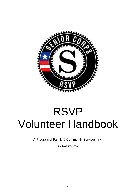

# RSVP Volunteer Handbook

A Program of Family & Community Services, Inc.

Revised 5/5/2020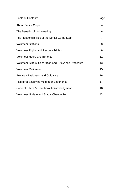| <b>Table of Contents</b>                                    | Page           |
|-------------------------------------------------------------|----------------|
| <b>About Senior Corps</b>                                   | $\overline{4}$ |
| The Benefits of Volunteering                                | 6              |
| The Responsibilities of the Senior Corps Staff              | 7              |
| <b>Volunteer Stations</b>                                   | 8              |
| <b>Volunteer Rights and Responsibilities</b>                | 9              |
| <b>Volunteer Hours and Benefits</b>                         | 11             |
| <b>Volunteer Status, Separation and Grievance Procedure</b> | 13             |
| <b>Volunteer Retirement</b>                                 | 15             |
| <b>Program Evaluation and Guidance</b>                      | 16             |
| Tips for a Satisfying Volunteer Experience                  | 17             |
| Code of Ethics & Handbook Acknowledgment                    | 18             |
| Volunteer Update and Status Change Form                     | 20             |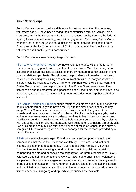#### **About Senior Corps**

Senior Corps volunteers make a difference in their communities. For decades, volunteers age 55+ have been serving their communities through Senior Corps programs, led by the Corporation for National and Community Service, the federal agency for service, volunteering, and civic engagement. Each year, Senior Corps engages more than 200,000 older adults in volunteer service through its Foster Grandparent, Senior Companion, and RSVP programs, enriching the lives of the volunteers and benefiting their communities.

Senior Corps offers several ways to get involved:

The Foster Grandparent Program connects volunteer's ages 55 and better with children and young people with exceptional needs. Foster Grandparents go into schools or childcare facilities to assist teachers by mentoring at-risk children in oneon-one relationships. Foster Grandparents help students with reading, math and basic skills, including socializing and communication skills. In many cases these children lack the basic resources at home to help them with their school work and Foster Grandparents can help fill that void. The Foster Grandparent also offers compassion and the most valuable possession of all: their time. You don't have to be a teacher-you just need to have a loving heart and a desire to help these children succeed.

The Senior Companion Program brings together volunteers ages 55 and better with adults in their community who have difficulty with the simple tasks of day-to-day living. Senior Companions serve one-on-one with the frail elderly and other homebound persons called "clients" who have difficulty completing everyday tasks and who need extra assistance in order to continue to live in their own homes and familiar surroundings. Senior Companions help out on a personal level by assisting with shopping and light chores, interacting with doctors, or just making a friendly visit. Senior Companions may also offer short periods of relief, or respite, to the primary caregiver. Clients and caregivers are never charged for the services provided by a Senior Companion.

RSVP connects volunteers ages 55 and over with service opportunities in their communities that match their skills and availability. There are no educational, income, or experience requirements. RSVP offers a wide variety of volunteer opportunities such as assisting at food pantries, mentoring children, assisting homebound seniors and enhancing the capacity of Non-profit organizations. RSVP volunteers put their unique talents to work to make a difference. RSVP volunteers are placed within community agencies, called stations, and receive training specific to the duties at that station. The number of hours are based on the station's needs and the RSVP volunteer's availability, so volunteers may choose an assignment that fits their schedule. On-going and episodic opportunities are available.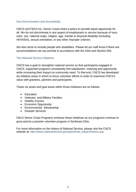#### Non-Discrimination and Accessibility

CNCS and F&CS Inc. Senior Corps share a policy to provide equal opportunity for all. We do not discriminate in any aspect of employment or service because of race, color, sex, national origin, religion, age, mental or physical disability (including HIV/AIDS), sexual orientation, or any other improper criterion.

We also strive to include people with disabilities. Please let our staff know if there are accommodations we can provide in accordance with the ADA and Section 504.

## The National Service Initiatives

CNCS has a goal to strengthen national service so that participants engaged in CNCS- supported programs consistently find satisfaction, meaning and opportunity while increasing their impact on community need. To that end, CNCS has developed six initiative areas in which to focus volunteer efforts in order to maximize CNCS's value with grantees, partners and participants.

These six areas and goal areas within those initiatives are as follows:

- Education
- Veterans and Military Families
- Healthy Futures
- Economic Opportunity
- Environmental Stewardship
- Disaster Services

F&CS Senior Corps Programs embrace these initiatives as our programs continue to grow and be a premier volunteer program in Northeast Ohio.

For more information on the history of National Service, please visit the CNCS website at: http://www.nationalservice.gov/about/role\_impact/history.asp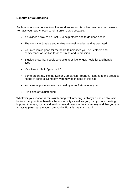#### **Benefits of Volunteering**

Each person who chooses to volunteer does so for his or her own personal reasons. Perhaps you have chosen to join Senior Corps because:

- It provides a way to be useful, to help others and to do good deeds
- The work is enjoyable and makes one feel needed and appreciated
- Volunteerism is good for the heart. It increases your self-esteem and competence as well as lessens stress and depression
- Studies show that people who volunteer live longer, healthier and happier lives
- It's a time in life to "give back"
- Some programs, like the Senior Companion Program, respond to the greatest needs of seniors. Someday, you may be in need of this aid
- You can help someone not as healthy or as fortunate as you
- Principles of Volunteering

Whatever your reason is for volunteering, volunteering is always a choice. We also believe that your time benefits the community as well as you, that you are meeting important human, social and environmental needs in the community and that you are an active participant in your community. For this, we thank you!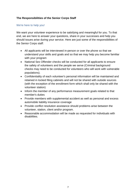# **The Responsibilities of the Senior Corps Staff**

#### We're here to help you!

We want your volunteer experience to be satisfying and meaningful for you. To that end, we are here to answer your questions, share in your successes and help you should issues arise during your service. Here are just some of the responsibilities of the Senior Corps staff:

- All applicants will be interviewed in-person or over the phone so that we understand your skills and goals and so that we may help you become familiar with your program
- National Sex Offender checks will be conducted for all applicants to ensure the safety of volunteers and the people we serve (Criminal background checks may need to be conducted for volunteers who will work with vulnerable populations).
- Confidentiality of each volunteer's personal information will be maintained and retained in locked filing cabinets and will not be shared with outside sources (with the exception of the enrollment form which shall only be shared with the volunteer station)
- Inform the member of any performance measurement goals related to that member's duties
- Provide members with supplemental accident as well as personal and excess automobile liability insurance coverage
- Provide conflict resolution assistance should problems arise between the volunteer, station, client and/or program.
- Reasonable accommodation will be made as requested for individuals with disabilities.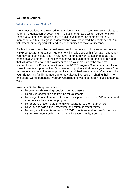#### **Volunteer Stations**

#### What is a Volunteer Station?

"Volunteer station," also referred to as "volunteer site", is a term we use to refer to a nonprofit organization or government institution that has a written agreement with Family & Community Services Inc. to provide volunteer assignments for RSVP members. Nearly 200 regional organizations have requested the assistance of RSVP volunteers, providing you with endless opportunities to make a difference.

Each volunteer station has a designated station supervisor who also serves as the RSVP contact for that station. He or she will provide you with information about how you may be most helpful and, in return, will listen and work to accommodate your needs as a volunteer. The relationship between a volunteer and the station is one that will grow and enable the volunteer to be a valuable part of the station's accomplishments. Please contact your local RSVP Program Coordinator for a list of current volunteer opportunities. Don't see an opportunity that meets your needs? Let us create a custom volunteer opportunity for you! Feel free to share information with your friends and family members who may also be interested in sharing their time and talent. Our experienced Program Coordinators would be happy to assist them as well.

Volunteer Station Responsibilities:

- To provide safe working conditions for volunteers
- To provide orientation and training for volunteers
- To designate a staff member to serve as supervisor to the RSVP member and to serve as a liaison to the program
- To report volunteer hours (monthly or quarterly) to the RSVP Office
- To verify and sign all volunteer time and reimbursement forms
- To recognize the achievements of RSVP volunteers and to identify them as RSVP volunteers serving through Family & Community Services.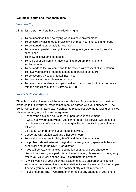# **Volunteer Rights and Responsibilities**

## Volunteer Rights

All Senior Corps members have the following rights:

- To do meaningful and satisfying work in a safe environment
- To be carefully assigned to projects which meet your interests and needs
- To be trained appropriately for your work
- To receive supervision and guidance throughout your community service experience
- To show initiative and leadership
- To voice your opinion and have input into program planning and implementation.
- To be made to feel welcome and to be treated with respect at your station
- To have your service hours documented (certificate or letter)
- To be covered by supplemental insurance
- To have access to a grievance process
- To have your confidential and personal information dealt with in accordance with the principles of the Privacy Act of 1988

# Volunteer Responsibilities

Though unpaid, volunteers still have responsibilities. As a volunteer you must be prepared to fulfill your volunteer commitment as agreed with your supervisor. The Senior Corps program asks each volunteer to please observe the following principles while performing any volunteer assignment:

- Respect the days and hours agreed upon for your assignment.
- Always notify your supervisor if you cannot report for service, will be late or must leave early. We realize that emergencies and conflicting commitments will arise.
- Be truthful when reporting your hours of service.
- Cooperate with station staff and other volunteers.
- Follow the policies set forth by RSVP and the volunteer station
- If a problem should arise with regard to the assignment, speak with the station supervisor and/or the RSVP Coordinator.
- If you will be away for an extended period of time, or if you choose to discontinue serving at a particular volunteer station, please inform the agency where you volunteer and the RSVP Coordinator in advance.
- If, while working at your volunteer assignment, you encounter confidential information concerning the volunteer station, its employees, and/or the people it serves, you must maintain the confidentiality of that information.
- Please keep the RSVP Coordinator informed of any changes in your phone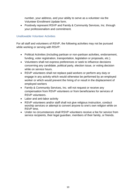number, your address, and your ability to serve as a volunteer via the Volunteer Enrollment Update form.

 Positively represent RSVP and Family & Community Services, Inc. through your professionalism and commitment.

# Unallowable Volunteer Activities

For all staff and volunteers of RSVP, the following activities may not be pursued while working or serving with RSVP:

- Political Activities (including partisan or non-partisan activities, endorsement, funding, voter registration, transportation, legislation or proposals, etc.).
- Volunteers shall not express preferences or seek to influence decisions concerning any candidate, political party, election issue, or voting decision while on service hours.
- RSVP volunteers shall not replace paid workers or perform any duty or engage in any activity which would otherwise be performed by an employed worker or which would prevent the hiring of or result in the displacement of employed workers
- Family & Community Services, Inc. will not request or receive any compensation from RSVP volunteers or from beneficiaries for services of RSVP volunteers.
- Labor and anti-labor activity
- RSVP volunteers and/or staff shall not give religious instruction, conduct worship services or attempt to convert anyone to one's own religion while on RSVP time.
- Under no circumstances shall RSVP volunteers receive a fee for service from service recipients, their legal guardian, members of their family, or friends.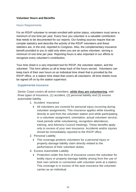# **Volunteer Hours and Benefits**

#### Hours Requirements

For an RSVP volunteer to remain enrolled with active status, volunteers must serve a minimum of one time per year. Every hour you volunteer is a valuable contribution that needs to be documented for our reports. Our funding sources require that we compile statistics and describe the activity of the RSVP volunteers and these statistics are, in the end, reported to Congress. Also, the complementary insurance benefit provided to you is valid only when you are an active volunteer, serving a minimum of one time per year. Reporting hours is also important in our efforts to recognize every volunteer's contribution.

Your time sheet is a very important tool for RSVP, the volunteer station, and the volunteer. This form allows us all to keep track of the hours served. Volunteers can keep track of their own hours on an individual time sheet that is provided by the RSVP office, or a station time sheet that covers all volunteers. All time sheets must be signed off on by the station supervisor.

#### Supplemental Insurance

Senior Corps covers all active members, **while they are volunteering**, with three types of insurance, (1) accident, (2) personal liability and (3) excess automobile liability.

- 1. Accident Insurance
	- All volunteers are covered for personal injury occurring during volunteer assignments. This insurance applies while traveling directly to and from the volunteer station and while participating in a volunteer assignment, orientation, actual volunteer service, meal periods while volunteering, recognition attendance, training, and Advisory Council meetings. These benefits apply only in excess of your own insurance. Accidents and/or injuries should be immediately reported to the RSVP office.
- 2. Personal Liability
	- This coverage protects volunteers for a personal injury or property damage liability claim directly related to the performance of their volunteer duties.
- 3. Excess Automobile Liability
	- Protection under this form of insurance covers the volunteer for bodily injury or property damage liability arising from the use of their own vehicle in connection with volunteer work at a station. This coverage is in excess of the auto insurance the volunteer carries as an individual.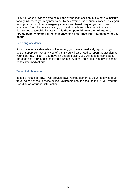This insurance provides some help in the event of an accident but is not a substitute for any insurance you may now carry. To be covered under our insurance policy, you must provide us with an emergency contact and beneficiary on your volunteer enrollment form. If you are driving, you must provide us with your valid driver's license and automobile insurance. **It is the responsibility of the volunteer to update beneficiary and driver's license, and insurance information as changes occur.**

#### Reporting Accidents

If you have an accident while volunteering, you must immediately report it to your station supervisor. For any type of claim, you will also need to report the accident to your local RSVP staff. If you have an accident claim, you will need to complete a "proof of loss" form and submit it to your local Senior Corps office along with copies of itemized medical bills.

#### Travel Reimbursement

In some instances, RSVP will provide travel reimbursement to volunteers who must travel as part of their service duties. Volunteers should speak to the RSVP Program Coordinator for further information.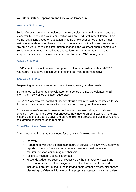# **Volunteer Status, Separation and Grievance Procedure**

#### Volunteer Status Policy

Senior Corps volunteers are volunteers who complete an enrollment form and are successfully placed in a volunteer position with an RSVP Volunteer Station. There are no restrictions based on education, income or experience. Volunteers must maintain an updated membership form and regularly submit volunteer service hours. Any time a volunteer's basic information changes, the volunteer should complete a Senior Corps Volunteer Enrollment Update form. A volunteer may choose to temporarily inactivate or close his or her enrollment in RSVP at any time.

#### Active Volunteers

RSVP volunteers must maintain an updated volunteer enrollment sheet (RSVP volunteers must serve a minimum of one time per year to remain active).

#### Inactive Volunteers

Suspending service and reporting due to illness, travel, or other needs.

If a volunteer will be unable to volunteer for a period of time, the volunteer shall inform the RSVP office or station supervisor.

For RSVP, after twelve months at inactive status a volunteer will be contacted to see if he or she is able to return to active status before having enrollment closed.

Once a volunteer's status is deemed as inactive, they are no longer considered enrolled in service. If the volunteer chooses, they may re-enroll, however, if the gap in service is longer than 30 days, the entire enrollment process (including all relevant background checks) must be repeated.

## Closed/Terminated Volunteers

A volunteer enrollment may be closed for any of the following conditions:

- Inactivity
- Reporting fewer than the minimum hours of service. An RSVP volunteer who reports no hours of service during a year does not meet the minimum requirements for maintaining membership.
- Failure to maintain updated information
- Misconduct deemed severe or excessive by the management team and in consultation with the State Program Specialist. Examples of misconduct include but are not limited to the following: theft, embezzlement, dishonesty, disclosing confidential information, inappropriate interactions with a student,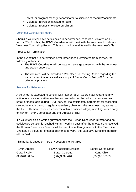client, or program manager/coordinator, falsification of records/documents.

- Volunteer retires or is asked to retire
- Volunteer requests to close enrollment

#### Volunteer Counseling Report

Should a volunteer have deficiencies in performance, conduct or violates an F&CS, Inc. or RSVP policy, the RSVP Coordinator will meet with the volunteer to deliver a Volunteer Counseling Report. This report will be maintained in the volunteer's file.

#### Process for Termination

In the event that it is determined a volunteer needs terminated from service, the following will occur:

- The RSVP Coordinator will contact and arrange a meeting with the volunteer and station supervisor.
- The volunteer will be provided a Volunteer Counseling Report regarding the issue for termination as well as a copy of Senior Corps Policy 625 for the grievance process.

#### Process for Grievances

A volunteer is expected to consult with his/her RSVP Coordinator regarding any action, occurrence or attitude either expressed or implied which is perceived as unfair or inequitable during RSVP service. If a satisfactory agreement for resolution cannot be made through regular supervisory channels, the volunteer may appeal to the F&CS Human Resources Director within 7 business days, in writing, with a copy to his/her RSVP Coordinator and the Director of RSVP.

If a volunteer files a written grievance with the Human Resources Director and no satisfactory solution is reached within 7 working days after the grievance is received, the Human Resources Director will forward the written grievance to the Executive Director. If a volunteer brings a grievance forward, the Executive Director's decision will be final.

This policy is based on F&CS Procedure No: HR3600.

| RSVP Director |
|---------------|
| Gerard Kelly  |
| (330)480-0352 |

RSVP Assistant Director Senior Corps Office Sarah Capretta Kent, Ohio (330)480-0352 (567)393-6446 (330)677-3939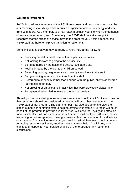## **Volunteer Retirement**

F&CS, Inc. values the service of the RSVP volunteers and recognizes that it can be a demanding responsibility which requires a significant amount of energy and time from volunteers. As a member, you may reach a point in your life when the demands of service become too great. Conversely, the RSVP staff may at some point recognize that the stress of service may be too great for you. If this happens, the RSVP staff are here to help you transition to retirement.

Some indications that you may be ready to retire include the following:

- Declining mental or health status that impacts your duties
- Not looking forward to going to the service site
- Being bothered by the noise and activity level at the site
- Feeling irritated by the clients or children served
- Becoming grouchy, argumentative or overly sensitive with the staff
- Being unwilling to accept directions from the staff
- Preferring to sit silently rather than engage with the public, clients or children
- Falling asleep on duty
- Not enjoying or participating in activities that were previously pleasurable
- Being very tired or glad to leave at the end of the day.

Should you be considering retirement from service or should the RSVP staff observe that retirement should be considered, a meeting will occur between you and the RSVP staff of that program. The staff member may also decide to interview the station supervisor or station staff to help determine your status. Our focus will be on behalf of the program to provide quality service. While we feel loyalty and affection for ours volunteer, all parties must assess if service shall continue. At times, maybe re-training, a new assignment, making a reasonable accommodation for a disability or a vacation from service may be all you need to re-fuel. However, should concern regarding retirement still exist, another meeting can be held. At all times, your dignity and respect for your service shall be at the forefront of any retirement discussions.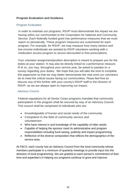# **Program Evaluation and Guidance**

#### Program Evaluation

In order to maintain our programs, RSVP must demonstrate the impact we are having within our communities to the Corporation for National and Community Service. Each federally funded grant has performance measures that we must report on periodically. These program measures are customized for each program. For example, for RSVP, we may measure how many seniors and low-income individuals are assisted by RSVP volunteers working with a medication access program to secure discounted or free prescriptions.

Your volunteer assignment/position description is meant to prepare you for the duties at your station. It may also be directly linked to a performance measure. If it is, you may, throughout your service year, be asked to partake in a survey regarding your duties. We hope that you will take the time to complete this paperwork so that we may better demonstrate the vital work our volunteers do to meet the critical issues facing our communities. Please feel free to discuss any of this further with your county's RSVP staff or the Director of RSVP, as we are always open to improving our impact.

## Advisory Council

Federal regulations for all Senior Corps programs mandate that community participation in the program shall be secured by way of an Advisory Council. This council shall be comprised of individuals who are:

- Knowledgeable of human and social needs of the community
- Competent in the field of community service and volunteerism
- Who have interest in and knowledge of the capability of older adults
- Capable of helping the sponsor meet its administrative and program responsibilities including fund-raising, publicity and impact programming
- Reflective of the diverse composition that reflects the demographics of the service area.

At F&CS, each county has an Advisory Council from the local community whose members participate in a minimum of quarterly meetings to provide input into the direction of local programming. We are grateful to each person's commitment of their time and expertise's in helping our programs continue to grow and improve.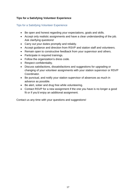# **Tips for a Satisfying Volunteer Experience**

# Tips for a Satisfying Volunteer Experience

- Be open and honest regarding your expectations, goals and skills.
- Accept only realistic assignments and have a clear understanding of the job. Ask clarifying questions!
- Carry out your duties promptly and reliably.
- Accept guidance and direction from RSVP and station staff and volunteers.
- Remain open to constructive feedback from your supervisor and others.
- Participate in required trainings.
- Follow the organization's dress code.
- Respect confidentiality.
- Discuss satisfactions, dissatisfactions and suggestions for upgrading or changing of your volunteer assignments with your station supervisor or RSVP Coordinator.
- Be punctual, and notify your station supervisor of absences as much in advance as possible.
- Be alert, sober and drug free while volunteering.
- Contact RSVP for a new assignment if the one you have is no longer a good fit or if you'd enjoy an additional assignment.

Contact us any time with your questions and suggestions!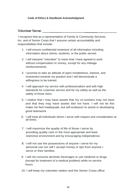# **Code of Ethics & Handbook Acknowledgment**

# **Volunteer Name:** Wolunteer Name:

I recognize that as a representative of Family & Community Services, Inc. and of Senior Corps that I assume certain accountability and responsibilities that include:

- 1. I will ensure confidential treatment of all information including information about clients, students, or the public served.
- 2. I will interpret "volunteer" to mean that I have agreed to work without compensation in money, except for any mileage reimbursements.
- 3. I promise to take an attitude of open-mindedness, interest, and investment towards my position and I will demonstrate a willingness to be trained.
- 4. I will approach my service with professionalism and with high standards for customer service and for my safety as well as the safety of those Isere.
- 5. I realize that I may have assets that my co-workers may not have and that they may have assets Idol not have. I will not let this make me feel inadequate, but will endeavor to assist in developing good teamwork.
- 6. I will treat all individuals whom I serve with respect and consideration at all times.
- 7. I will maximize the quality of life of those I serve by providing quality care in the most appropriate and least restrictive environment and by encouraging independence.
- 8. I will not use the possessions of anyone I serve for my personal use nor will I accept money or tips from anyone I serve or their families.
- 9. I will not consume alcoholic beverages or use medicine or drugs (except for treatment of a medical problem) while on service hours.
- 10. I will keep my volunteer station and the Senior Corps office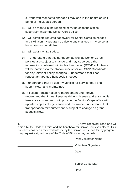current with respect to changes I may see in the health or wellbeing of individuals served.

- 11. I will be truthful in the reporting of my hours to the station supervisor and/or the Senior Corps office.
- 12. I will complete required paperwork for Senior Corps as needed and I will alert my program's office to any changes in my personal information or beneficiary.
- 13. I will wear my I.D. Badge.
- 14. I understand that this handbook as well as Senior Corps policies are subject to change and may supersede the information contained within this handbook. (RSVP volunteers will be notified via the station supervisor or RSVP Coordinator for any relevant policy changes.) I understand that I can request an updated handbook if needed.
- 15. I understand that if I use my vehicle for service that I shall keep it clean and maintained.
- 16. If I claim transportation reimbursement and I drive, I understand that I must keep my driver's license and automobile insurance current and I will provide the Senior Corps office with updated copies of my license and insurance. I understand that transportation reimbursement is subject to change as grant budgets allow.

| , have received, read and will                                                 |
|--------------------------------------------------------------------------------|
| abide by the Code of Ethics and the handbook for Senior Corps volunteers. This |
| handbook has been reviewed with me by the Senior Corps Staff for my program. I |
| may request a signed copy of the Code of Ethics for my records.                |
|                                                                                |

| <b>Print Volunteer Name</b> |
|-----------------------------|
| <b>Volunteer Signature</b>  |
| Date                        |
|                             |
| <b>Senior Corps Staff</b>   |
| Date                        |